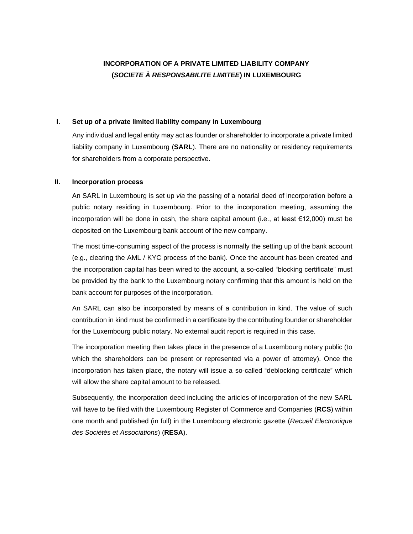# **INCORPORATION OF A PRIVATE LIMITED LIABILITY COMPANY (***SOCIETE À RESPONSABILITE LIMITEE***) IN LUXEMBOURG**

#### **I. Set up of a private limited liability company in Luxembourg**

Any individual and legal entity may act as founder or shareholder to incorporate a private limited liability company in Luxembourg (**SARL**). There are no nationality or residency requirements for shareholders from a corporate perspective.

#### **II. Incorporation process**

An SARL in Luxembourg is set up *via* the passing of a notarial deed of incorporation before a public notary residing in Luxembourg. Prior to the incorporation meeting, assuming the incorporation will be done in cash, the share capital amount (i.e., at least €12,000) must be deposited on the Luxembourg bank account of the new company.

The most time-consuming aspect of the process is normally the setting up of the bank account (e.g., clearing the AML / KYC process of the bank). Once the account has been created and the incorporation capital has been wired to the account, a so-called "blocking certificate" must be provided by the bank to the Luxembourg notary confirming that this amount is held on the bank account for purposes of the incorporation.

An SARL can also be incorporated by means of a contribution in kind. The value of such contribution in kind must be confirmed in a certificate by the contributing founder or shareholder for the Luxembourg public notary. No external audit report is required in this case.

The incorporation meeting then takes place in the presence of a Luxembourg notary public (to which the shareholders can be present or represented via a power of attorney). Once the incorporation has taken place, the notary will issue a so-called "deblocking certificate" which will allow the share capital amount to be released.

Subsequently, the incorporation deed including the articles of incorporation of the new SARL will have to be filed with the Luxembourg Register of Commerce and Companies (**RCS**) within one month and published (in full) in the Luxembourg electronic gazette (*Recueil Electronique des Sociétés et Associations*) (**RESA**).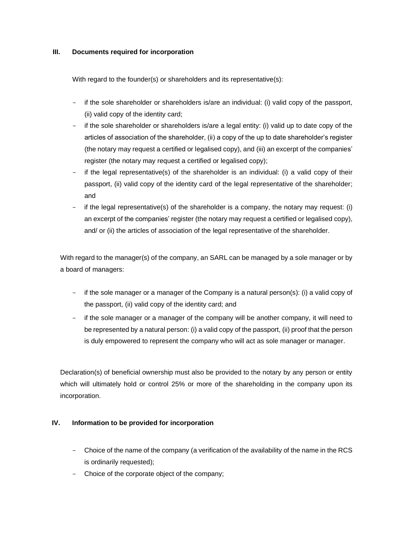## **III. Documents required for incorporation**

With regard to the founder(s) or shareholders and its representative(s):

- if the sole shareholder or shareholders is/are an individual: (i) valid copy of the passport, (ii) valid copy of the identity card;
- if the sole shareholder or shareholders is/are a legal entity: (i) valid up to date copy of the articles of association of the shareholder, (ii) a copy of the up to date shareholder's register (the notary may request a certified or legalised copy), and (iii) an excerpt of the companies' register (the notary may request a certified or legalised copy);
- if the legal representative(s) of the shareholder is an individual: (i) a valid copy of their passport, (ii) valid copy of the identity card of the legal representative of the shareholder; and
- if the legal representative(s) of the shareholder is a company, the notary may request: (i) an excerpt of the companies' register (the notary may request a certified or legalised copy), and/ or (ii) the articles of association of the legal representative of the shareholder.

With regard to the manager(s) of the company, an SARL can be managed by a sole manager or by a board of managers:

- if the sole manager or a manager of the Company is a natural person(s): (i) a valid copy of the passport, (ii) valid copy of the identity card; and
- if the sole manager or a manager of the company will be another company, it will need to be represented by a natural person: (i) a valid copy of the passport, (ii) proof that the person is duly empowered to represent the company who will act as sole manager or manager.

Declaration(s) of beneficial ownership must also be provided to the notary by any person or entity which will ultimately hold or control 25% or more of the shareholding in the company upon its incorporation.

## **IV. Information to be provided for incorporation**

- Choice of the name of the company (a verification of the availability of the name in the RCS is ordinarily requested);
- Choice of the corporate object of the company;